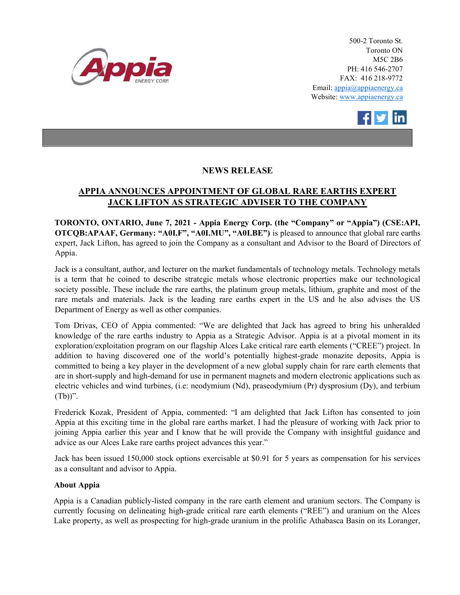

500-2 Toronto St. Toronto ON M5C 2B6 PH: 416 546-2707 FAX: 416 218-9772 Email: appia@appiaenergy.ca Website: www.appiaenergy.ca



## NEWS RELEASE

## APPIA ANNOUNCES APPOINTMENT OF GLOBAL RARE EARTHS EXPERT JACK LIFTON AS STRATEGIC ADVISER TO THE COMPANY

TORONTO, ONTARIO, June 7, 2021 - Appia Energy Corp. (the "Company" or "Appia") (CSE:API, OTCQB:APAAF, Germany: "A0I.F", "A0I.MU", "A0I.BE") is pleased to announce that global rare earths expert, Jack Lifton, has agreed to join the Company as a consultant and Advisor to the Board of Directors of Appia.

Jack is a consultant, author, and lecturer on the market fundamentals of technology metals. Technology metals is a term that he coined to describe strategic metals whose electronic properties make our technological society possible. These include the rare earths, the platinum group metals, lithium, graphite and most of the rare metals and materials. Jack is the leading rare earths expert in the US and he also advises the US Department of Energy as well as other companies.

Tom Drivas, CEO of Appia commented: "We are delighted that Jack has agreed to bring his unheralded knowledge of the rare earths industry to Appia as a Strategic Advisor. Appia is at a pivotal moment in its exploration/exploitation program on our flagship Alces Lake critical rare earth elements ("CREE") project. In addition to having discovered one of the world's potentially highest-grade monazite deposits, Appia is committed to being a key player in the development of a new global supply chain for rare earth elements that are in short-supply and high-demand for use in permanent magnets and modern electronic applications such as electric vehicles and wind turbines, (i.e: neodymium (Nd), praseodymium (Pr) dysprosium (Dy), and terbium  $(Tb)$ ".

Frederick Kozak, President of Appia, commented: "I am delighted that Jack Lifton has consented to join Appia at this exciting time in the global rare earths market. I had the pleasure of working with Jack prior to joining Appia earlier this year and I know that he will provide the Company with insightful guidance and advice as our Alces Lake rare earths project advances this year."

Jack has been issued 150,000 stock options exercisable at \$0.91 for 5 years as compensation for his services as a consultant and advisor to Appia.

## About Appia

Appia is a Canadian publicly-listed company in the rare earth element and uranium sectors. The Company is currently focusing on delineating high-grade critical rare earth elements ("REE") and uranium on the Alces Lake property, as well as prospecting for high-grade uranium in the prolific Athabasca Basin on its Loranger,